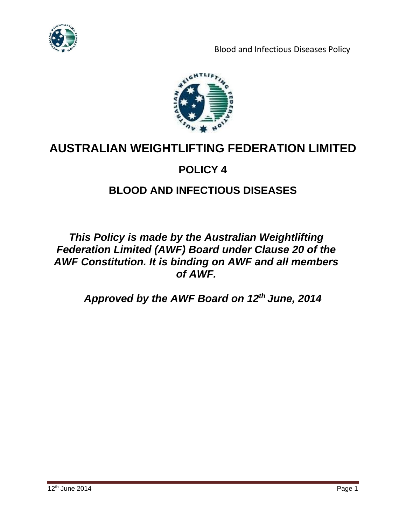



# **AUSTRALIAN WEIGHTLIFTING FEDERATION LIMITED**

## **POLICY 4**

## **BLOOD AND INFECTIOUS DISEASES**

### *This Policy is made by the Australian Weightlifting Federation Limited (AWF) Board under Clause 20 of the AWF Constitution. It is binding on AWF and all members of AWF.*

*Approved by the AWF Board on 12th June, 2014*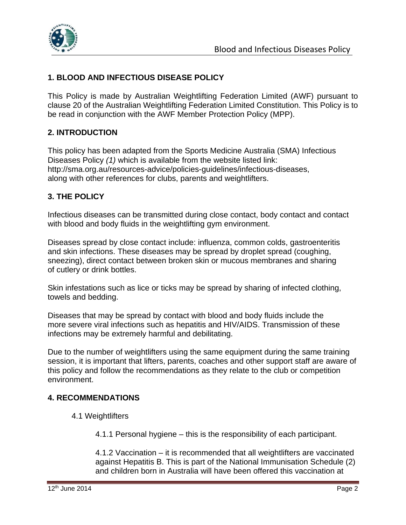

#### **1. BLOOD AND INFECTIOUS DISEASE POLICY**

This Policy is made by Australian Weightlifting Federation Limited (AWF) pursuant to clause 20 of the Australian Weightlifting Federation Limited Constitution. This Policy is to be read in conjunction with the AWF Member Protection Policy (MPP).

#### **2. INTRODUCTION**

This policy has been adapted from the Sports Medicine Australia (SMA) Infectious Diseases Policy *(1)* which is available from the website listed link: http://sma.org.au/resources-advice/policies-guidelines/infectious-diseases, along with other references for clubs, parents and weightlifters.

#### **3. THE POLICY**

Infectious diseases can be transmitted during close contact, body contact and contact with blood and body fluids in the weightlifting gym environment.

Diseases spread by close contact include: influenza, common colds, gastroenteritis and skin infections. These diseases may be spread by droplet spread (coughing, sneezing), direct contact between broken skin or mucous membranes and sharing of cutlery or drink bottles.

Skin infestations such as lice or ticks may be spread by sharing of infected clothing, towels and bedding.

Diseases that may be spread by contact with blood and body fluids include the more severe viral infections such as hepatitis and HIV/AIDS. Transmission of these infections may be extremely harmful and debilitating.

Due to the number of weightlifters using the same equipment during the same training session, it is important that lifters, parents, coaches and other support staff are aware of this policy and follow the recommendations as they relate to the club or competition environment.

#### **4. RECOMMENDATIONS**

- 4.1 Weightlifters
	- 4.1.1 Personal hygiene this is the responsibility of each participant.

4.1.2 Vaccination – it is recommended that all weightlifters are vaccinated against Hepatitis B. This is part of the National Immunisation Schedule (2) and children born in Australia will have been offered this vaccination at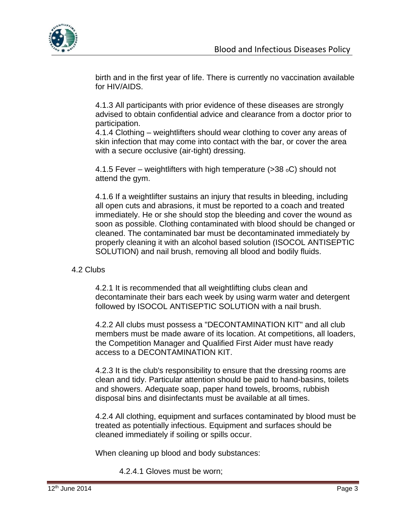

birth and in the first year of life. There is currently no vaccination available for HIV/AIDS.

4.1.3 All participants with prior evidence of these diseases are strongly advised to obtain confidential advice and clearance from a doctor prior to participation.

4.1.4 Clothing – weightlifters should wear clothing to cover any areas of skin infection that may come into contact with the bar, or cover the area with a secure occlusive (air-tight) dressing.

4.1.5 Fever – weightlifters with high temperature ( $>$ 38  $\circ$ C) should not attend the gym.

4.1.6 If a weightlifter sustains an injury that results in bleeding, including all open cuts and abrasions, it must be reported to a coach and treated immediately. He or she should stop the bleeding and cover the wound as soon as possible. Clothing contaminated with blood should be changed or cleaned. The contaminated bar must be decontaminated immediately by properly cleaning it with an alcohol based solution (ISOCOL ANTISEPTIC SOLUTION) and nail brush, removing all blood and bodily fluids.

#### 4.2 Clubs

4.2.1 It is recommended that all weightlifting clubs clean and decontaminate their bars each week by using warm water and detergent followed by ISOCOL ANTISEPTIC SOLUTION with a nail brush.

4.2.2 All clubs must possess a "DECONTAMINATION KIT" and all club members must be made aware of its location. At competitions, all loaders, the Competition Manager and Qualified First Aider must have ready access to a DECONTAMINATION KIT.

4.2.3 It is the club's responsibility to ensure that the dressing rooms are clean and tidy. Particular attention should be paid to hand-basins, toilets and showers. Adequate soap, paper hand towels, brooms, rubbish disposal bins and disinfectants must be available at all times.

4.2.4 All clothing, equipment and surfaces contaminated by blood must be treated as potentially infectious. Equipment and surfaces should be cleaned immediately if soiling or spills occur.

When cleaning up blood and body substances:

4.2.4.1 Gloves must be worn;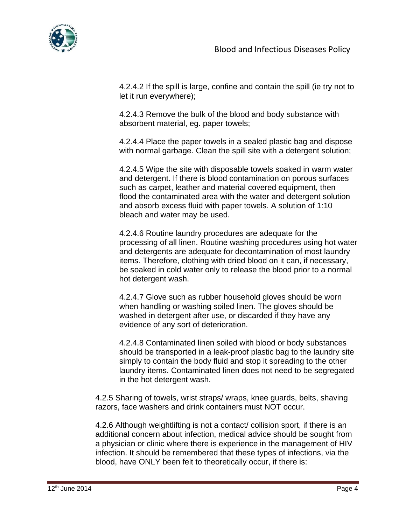

4.2.4.2 If the spill is large, confine and contain the spill (ie try not to let it run everywhere);

4.2.4.3 Remove the bulk of the blood and body substance with absorbent material, eg. paper towels;

4.2.4.4 Place the paper towels in a sealed plastic bag and dispose with normal garbage. Clean the spill site with a detergent solution;

4.2.4.5 Wipe the site with disposable towels soaked in warm water and detergent. If there is blood contamination on porous surfaces such as carpet, leather and material covered equipment, then flood the contaminated area with the water and detergent solution and absorb excess fluid with paper towels. A solution of 1:10 bleach and water may be used.

4.2.4.6 Routine laundry procedures are adequate for the processing of all linen. Routine washing procedures using hot water and detergents are adequate for decontamination of most laundry items. Therefore, clothing with dried blood on it can, if necessary, be soaked in cold water only to release the blood prior to a normal hot detergent wash.

4.2.4.7 Glove such as rubber household gloves should be worn when handling or washing soiled linen. The gloves should be washed in detergent after use, or discarded if they have any evidence of any sort of deterioration.

4.2.4.8 Contaminated linen soiled with blood or body substances should be transported in a leak-proof plastic bag to the laundry site simply to contain the body fluid and stop it spreading to the other laundry items. Contaminated linen does not need to be segregated in the hot detergent wash.

4.2.5 Sharing of towels, wrist straps/ wraps, knee guards, belts, shaving razors, face washers and drink containers must NOT occur.

4.2.6 Although weightlifting is not a contact/ collision sport, if there is an additional concern about infection, medical advice should be sought from a physician or clinic where there is experience in the management of HIV infection. It should be remembered that these types of infections, via the blood, have ONLY been felt to theoretically occur, if there is: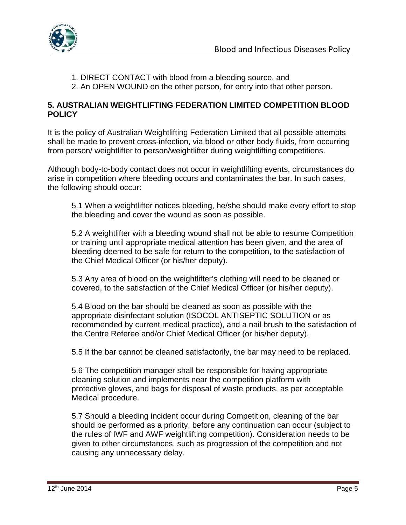

- 1. DIRECT CONTACT with blood from a bleeding source, and
- 2. An OPEN WOUND on the other person, for entry into that other person.

#### **5. AUSTRALIAN WEIGHTLIFTING FEDERATION LIMITED COMPETITION BLOOD POLICY**

It is the policy of Australian Weightlifting Federation Limited that all possible attempts shall be made to prevent cross-infection, via blood or other body fluids, from occurring from person/ weightlifter to person/weightlifter during weightlifting competitions.

Although body-to-body contact does not occur in weightlifting events, circumstances do arise in competition where bleeding occurs and contaminates the bar. In such cases, the following should occur:

5.1 When a weightlifter notices bleeding, he/she should make every effort to stop the bleeding and cover the wound as soon as possible.

5.2 A weightlifter with a bleeding wound shall not be able to resume Competition or training until appropriate medical attention has been given, and the area of bleeding deemed to be safe for return to the competition, to the satisfaction of the Chief Medical Officer (or his/her deputy).

5.3 Any area of blood on the weightlifter's clothing will need to be cleaned or covered, to the satisfaction of the Chief Medical Officer (or his/her deputy).

5.4 Blood on the bar should be cleaned as soon as possible with the appropriate disinfectant solution (ISOCOL ANTISEPTIC SOLUTION or as recommended by current medical practice), and a nail brush to the satisfaction of the Centre Referee and/or Chief Medical Officer (or his/her deputy).

5.5 If the bar cannot be cleaned satisfactorily, the bar may need to be replaced.

5.6 The competition manager shall be responsible for having appropriate cleaning solution and implements near the competition platform with protective gloves, and bags for disposal of waste products, as per acceptable Medical procedure.

5.7 Should a bleeding incident occur during Competition, cleaning of the bar should be performed as a priority, before any continuation can occur (subject to the rules of IWF and AWF weightlifting competition). Consideration needs to be given to other circumstances, such as progression of the competition and not causing any unnecessary delay.